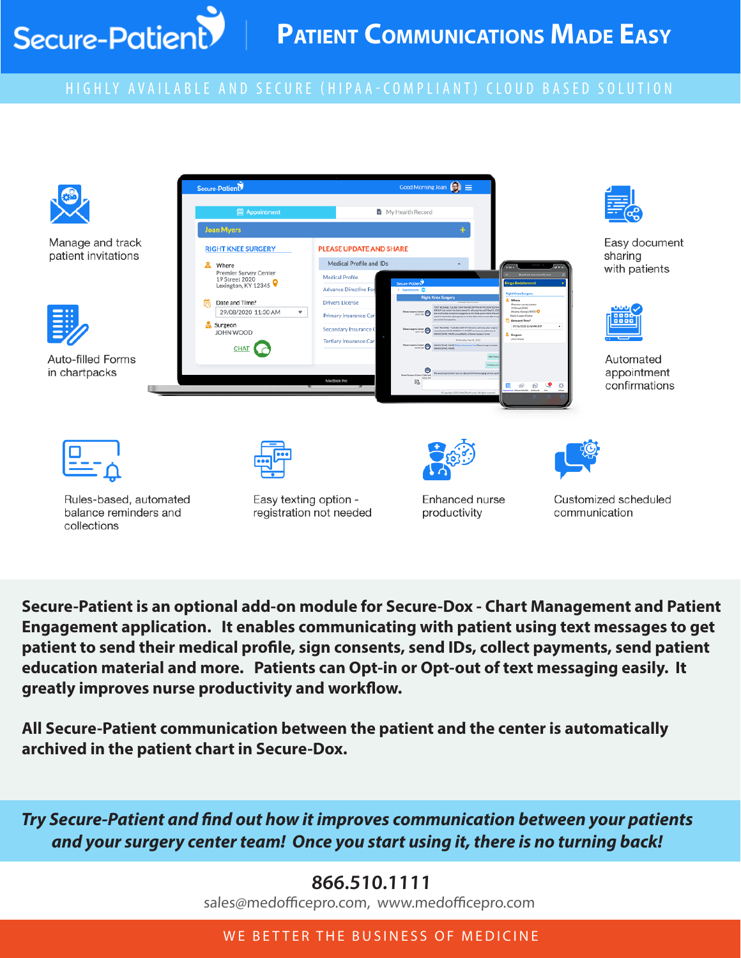## HIGHLY AVAIL ABLE AND SECURE (HIPAA-COMPLIANT) CLOUD BASED SOLUTION

Secure-Patient



**Secure-Patient is an optional add-on module for Secure-Dox - Chart Management and Patient Engagement application. It enables communicating with patient using text messages to get patient to send their medical profile, sign consents, send IDs, collect payments, send patient education material and more. Patients can Opt-in or Opt-out of text messaging easily. It greatly improves nurse productivity and workflow.** 

**All Secure-Patient communication between the patient and the center is automatically archived in the patient chart in Secure-Dox.** 

*Try Secure-Patient and find out how it improves communication between your patients and your surgery center team! Once you start using it, there is no turning back!*

## **866.510.1111**

sales@medofficepro.com, www.medofficepro.com

## WE BETTER THE BUSINESS OF MEDICINE